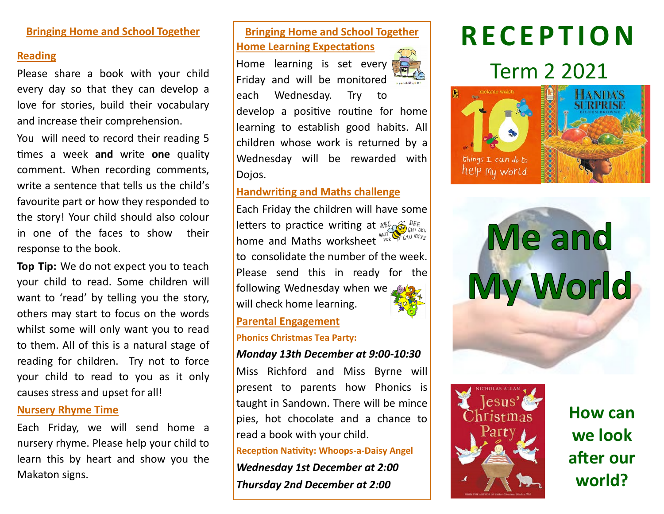#### **Bringing Home and School Together**

#### **Reading**

Please share a book with your child every day so that they can develop a love for stories, build their vocabulary and increase their comprehension.

You will need to record their reading 5 times a week **and** write **one** quality comment. When recording comments, write a sentence that tells us the child's favourite part or how they responded to the story! Your child should also colour in one of the faces to show their response to the book.

**Top Tip:** We do not expect you to teach your child to read. Some children will want to 'read' by telling you the story, others may start to focus on the words whilst some will only want you to read to them. All of this is a natural stage of reading for children. Try not to force your child to read to you as it only causes stress and upset for all!

#### **Nursery Rhyme Time**

Each Friday, we will send home a nursery rhyme. Please help your child to learn this by heart and show you the Makaton signs.

#### **Bringing Home and School Together Home Learning Expectations**

Home learning is set every Friday and will be monitored each Wednesday. Try to develop a positive routine for home learning to establish good habits. All children whose work is returned by a Wednesday will be rewarded with Dojos.

#### **Handwriting and Maths challenge**

Each Friday the children will have some letters to practice writing at  $\frac{186}{100}$   $\sum_{4H/3KL}$ home and Maths worksheet Mark SAU WAYZ to consolidate the number of the week. Please send this in ready for the followingWednesday when we will check home learning.

#### **Parental Engagement**

**Phonics Christmas Tea Party:** 

#### *Monday 13th December at 9:00-10:30*

Miss Richford and Miss Byrne will present to parents how Phonics is taught in Sandown. There will be mince pies, hot chocolate and a chance to read a book with your child.

**Reception Nativity: Whoops-a-Daisy Angel**  *Wednesday 1st December at 2:00 Thursday 2nd December at 2:00*

# **R E C E P T I O N**

## Term 2 2021







**How can we look after our world?**